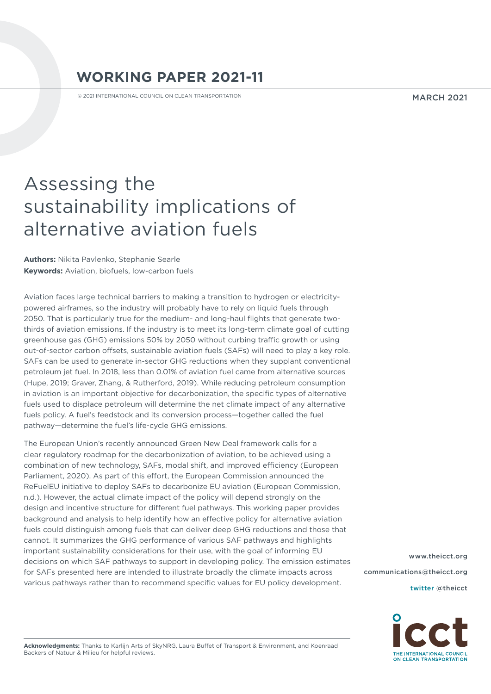# **WORKING PAPER 2021-11**

© 2021 INTERNATIONAL COUNCIL ON CLEAN TRANSPORTATION

#### MARCH 2021

# Assessing the sustainability implications of alternative aviation fuels

**Authors:** Nikita Pavlenko, Stephanie Searle **Keywords:** Aviation, biofuels, low-carbon fuels

Aviation faces large technical barriers to making a transition to hydrogen or electricitypowered airframes, so the industry will probably have to rely on liquid fuels through 2050. That is particularly true for the medium- and long-haul flights that generate twothirds of aviation emissions. If the industry is to meet its long-term climate goal of cutting greenhouse gas (GHG) emissions 50% by 2050 without curbing traffic growth or using out-of-sector carbon offsets, sustainable aviation fuels (SAFs) will need to play a key role. SAFs can be used to generate in-sector GHG reductions when they supplant conventional petroleum jet fuel. In 2018, less than 0.01% of aviation fuel came from alternative sources (Hupe, 2019; Graver, Zhang, & Rutherford, 2019). While reducing petroleum consumption in aviation is an important objective for decarbonization, the specific types of alternative fuels used to displace petroleum will determine the net climate impact of any alternative fuels policy. A fuel's feedstock and its conversion process—together called the fuel pathway—determine the fuel's life-cycle GHG emissions.

The European Union's recently announced Green New Deal framework calls for a clear regulatory roadmap for the decarbonization of aviation, to be achieved using a combination of new technology, SAFs, modal shift, and improved efficiency (European Parliament, 2020). As part of this effort, the European Commission announced the ReFuelEU initiative to deploy SAFs to decarbonize EU aviation (European Commission, n.d.). However, the actual climate impact of the policy will depend strongly on the design and incentive structure for different fuel pathways. This working paper provides background and analysis to help identify how an effective policy for alternative aviation fuels could distinguish among fuels that can deliver deep GHG reductions and those that cannot. It summarizes the GHG performance of various SAF pathways and highlights important sustainability considerations for their use, with the goal of informing EU decisions on which SAF pathways to support in developing policy. The emission estimates for SAFs presented here are intended to illustrate broadly the climate impacts across various pathways rather than to recommend specific values for EU policy development.

[www.theicct.org](http://www.theicct.org) [communications@theicct.org](mailto:communications%40theicct.org%20%20%20%20?subject=)  [twitter @theicct](http://twitter.com/theicct)



**Acknowledgments:** Thanks to Karlijn Arts of SkyNRG, Laura Buffet of Transport & Environment, and Koenraad Backers of Natuur & Milieu for helpful reviews.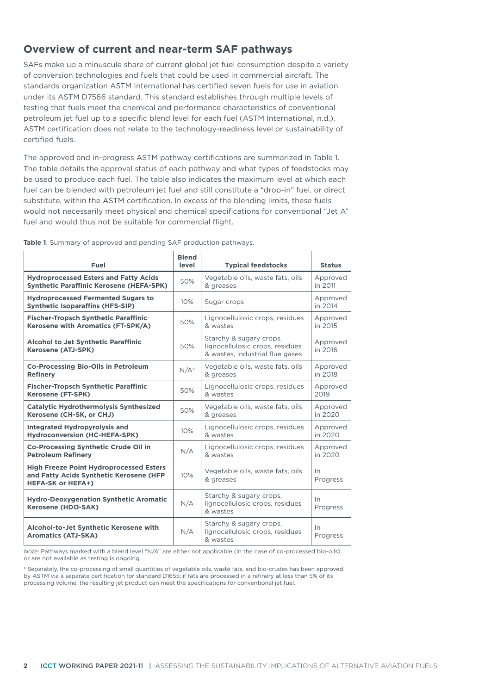# **Overview of current and near-term SAF pathways**

SAFs make up a minuscule share of current global jet fuel consumption despite a variety of conversion technologies and fuels that could be used in commercial aircraft. The standards organization ASTM International has certified seven fuels for use in aviation under its ASTM D7566 standard. This standard establishes through multiple levels of testing that fuels meet the chemical and performance characteristics of conventional petroleum jet fuel up to a specific blend level for each fuel (ASTM International, n.d.). ASTM certification does not relate to the technology-readiness level or sustainability of certified fuels.

The approved and in-progress ASTM pathway certifications are summarized in [Table](#page-1-0) 1. The table details the approval status of each pathway and what types of feedstocks may be used to produce each fuel. The table also indicates the maximum level at which each fuel can be blended with petroleum jet fuel and still constitute a "drop-in" fuel, or direct substitute, within the ASTM certification. In excess of the blending limits, these fuels would not necessarily meet physical and chemical specifications for conventional "Jet A" fuel and would thus not be suitable for commercial flight.

| Fuel                                                                                                                  | <b>Blend</b><br>level | <b>Typical feedstocks</b>                                                                     | <b>Status</b>       |
|-----------------------------------------------------------------------------------------------------------------------|-----------------------|-----------------------------------------------------------------------------------------------|---------------------|
| <b>Hydroprocessed Esters and Fatty Acids</b>                                                                          | 50%                   | Vegetable oils, waste fats, oils                                                              | Approved            |
| <b>Synthetic Paraffinic Kerosene (HEFA-SPK)</b>                                                                       |                       | & greases                                                                                     | in 2011             |
| <b>Hydroprocessed Fermented Sugars to</b><br><b>Synthetic Isoparaffins (HFS-SIP)</b>                                  | 10%                   | Sugar crops                                                                                   | Approved<br>in 2014 |
| <b>Fischer-Tropsch Synthetic Paraffinic</b>                                                                           | 50%                   | Lignocellulosic crops, residues                                                               | Approved            |
| Kerosene with Aromatics (FT-SPK/A)                                                                                    |                       | & wastes                                                                                      | in 2015             |
| <b>Alcohol to Jet Synthetic Paraffinic</b><br>Kerosene (ATJ-SPK)                                                      | 50%                   | Starchy & sugary crops,<br>lignocellulosic crops, residues<br>& wastes, industrial flue gases | Approved<br>in 2016 |
| <b>Co-Processing Bio-Oils in Petroleum</b>                                                                            | $N/A^a$               | Vegetable oils, waste fats, oils                                                              | Approved            |
| <b>Refinery</b>                                                                                                       |                       | & greases                                                                                     | in 2018             |
| <b>Fischer-Tropsch Synthetic Paraffinic</b>                                                                           | 50%                   | Lignocellulosic crops, residues                                                               | Approved            |
| <b>Kerosene (FT-SPK)</b>                                                                                              |                       | & wastes                                                                                      | 2019                |
| <b>Catalytic Hydrothermolysis Synthesized</b>                                                                         | 50%                   | Vegetable oils, waste fats, oils                                                              | Approved            |
| Kerosene (CH-SK, or CHJ)                                                                                              |                       | & greases                                                                                     | in 2020             |
| <b>Integrated Hydropyrolysis and</b>                                                                                  | 10%                   | Lignocellulosic crops, residues                                                               | Approved            |
| <b>Hydroconversion (HC-HEFA-SPK)</b>                                                                                  |                       | & wastes                                                                                      | in 2020             |
| Co-Processing Synthetic Crude Oil in                                                                                  | N/A                   | Lignocellulosic crops, residues                                                               | Approved            |
| <b>Petroleum Refinerv</b>                                                                                             |                       | & wastes                                                                                      | in 2020             |
| <b>High Freeze Point Hydroprocessed Esters</b><br>and Fatty Acids Synthetic Kerosene (HFP<br><b>HEFA-SK or HEFA+)</b> | 10%                   | Vegetable oils, waste fats, oils<br>& greases                                                 | In.<br>Progress     |
| <b>Hydro-Deoxygenation Synthetic Aromatic</b><br>Kerosene (HDO-SAK)                                                   | N/A                   | Starchy & sugary crops,<br>lignocellulosic crops, residues<br>& wastes                        | In<br>Progress      |
| Alcohol-to-Jet Synthetic Kerosene with<br><b>Aromatics (ATJ-SKA)</b>                                                  | N/A                   | Starchy & sugary crops,<br>lignocellulosic crops, residues<br>& wastes                        | In.<br>Progress     |

<span id="page-1-0"></span>**Table 1**: Summary of approved and pending SAF production pathways.

*Note:* Pathways marked with a blend level "N/A" are either not applicable (in the case of co-processed bio-oils) or are not available as testing is ongoing.

a Separately, the co-processing of small quantities of vegetable oils, waste fats, and bio-crudes has been approved by ASTM via a separate certification for standard D1655; if fats are processed in a refinery at less than 5% of its processing volume, the resulting jet product can meet the specifications for conventional jet fuel.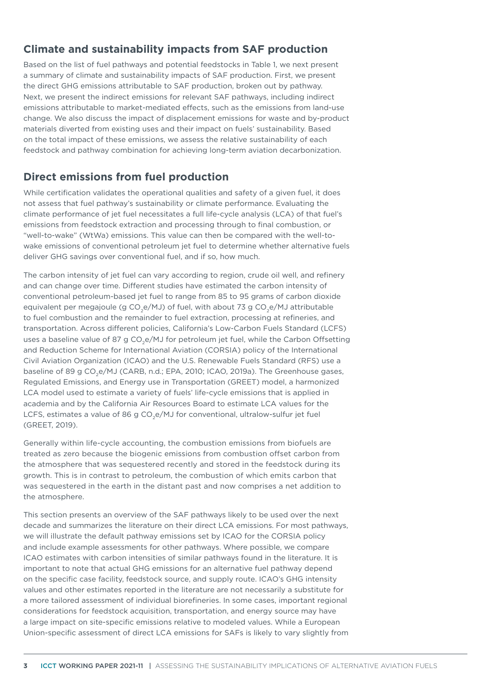# **Climate and sustainability impacts from SAF production**

Based on the list of fuel pathways and potential feedstocks in [Table](#page-1-0) 1, we next present a summary of climate and sustainability impacts of SAF production. First, we present the direct GHG emissions attributable to SAF production, broken out by pathway. Next, we present the indirect emissions for relevant SAF pathways, including indirect emissions attributable to market-mediated effects, such as the emissions from land-use change. We also discuss the impact of displacement emissions for waste and by-product materials diverted from existing uses and their impact on fuels' sustainability. Based on the total impact of these emissions, we assess the relative sustainability of each feedstock and pathway combination for achieving long-term aviation decarbonization.

# **Direct emissions from fuel production**

While certification validates the operational qualities and safety of a given fuel, it does not assess that fuel pathway's sustainability or climate performance. Evaluating the climate performance of jet fuel necessitates a full life-cycle analysis (LCA) of that fuel's emissions from feedstock extraction and processing through to final combustion, or "well-to-wake" (WtWa) emissions. This value can then be compared with the well-towake emissions of conventional petroleum jet fuel to determine whether alternative fuels deliver GHG savings over conventional fuel, and if so, how much.

The carbon intensity of jet fuel can vary according to region, crude oil well, and refinery and can change over time. Different studies have estimated the carbon intensity of conventional petroleum-based jet fuel to range from 85 to 95 grams of carbon dioxide equivalent per megajoule (g  $CO<sub>2</sub>e/MJ$ ) of fuel, with about 73 g  $CO<sub>3</sub>e/MJ$  attributable to fuel combustion and the remainder to fuel extraction, processing at refineries, and transportation. Across different policies, California's Low-Carbon Fuels Standard (LCFS) uses a baseline value of 87 g CO<sub>2</sub>e/MJ for petroleum jet fuel, while the Carbon Offsetting and Reduction Scheme for International Aviation (CORSIA) policy of the International Civil Aviation Organization (ICAO) and the U.S. Renewable Fuels Standard (RFS) use a baseline of 89 g CO<sub>2</sub>e/MJ (CARB, n.d.; EPA, 2010; ICAO, 2019a). The Greenhouse gases, Regulated Emissions, and Energy use in Transportation (GREET) model, a harmonized LCA model used to estimate a variety of fuels' life-cycle emissions that is applied in academia and by the California Air Resources Board to estimate LCA values for the LCFS, estimates a value of 86 g  $CO<sub>e</sub>/MJ$  for conventional, ultralow-sulfur jet fuel (GREET, 2019).

Generally within life-cycle accounting, the combustion emissions from biofuels are treated as zero because the biogenic emissions from combustion offset carbon from the atmosphere that was sequestered recently and stored in the feedstock during its growth. This is in contrast to petroleum, the combustion of which emits carbon that was sequestered in the earth in the distant past and now comprises a net addition to the atmosphere.

This section presents an overview of the SAF pathways likely to be used over the next decade and summarizes the literature on their direct LCA emissions. For most pathways, we will illustrate the default pathway emissions set by ICAO for the CORSIA policy and include example assessments for other pathways. Where possible, we compare ICAO estimates with carbon intensities of similar pathways found in the literature. It is important to note that actual GHG emissions for an alternative fuel pathway depend on the specific case facility, feedstock source, and supply route. ICAO's GHG intensity values and other estimates reported in the literature are not necessarily a substitute for a more tailored assessment of individual biorefineries. In some cases, important regional considerations for feedstock acquisition, transportation, and energy source may have a large impact on site-specific emissions relative to modeled values. While a European Union-specific assessment of direct LCA emissions for SAFs is likely to vary slightly from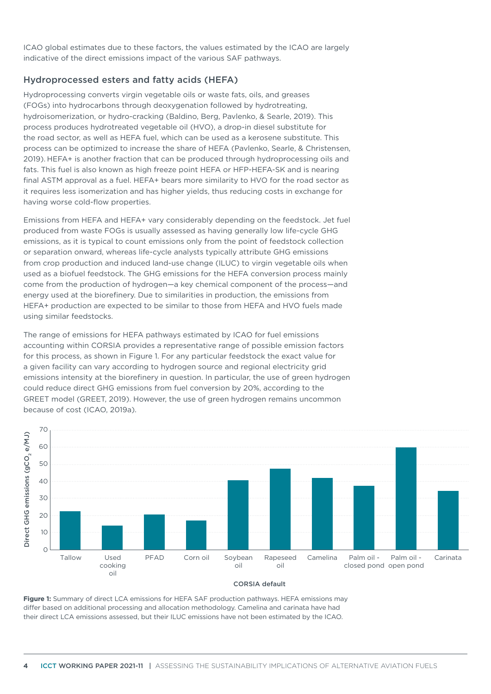ICAO global estimates due to these factors, the values estimated by the ICAO are largely indicative of the direct emissions impact of the various SAF pathways.

#### Hydroprocessed esters and fatty acids (HEFA)

Hydroprocessing converts virgin vegetable oils or waste fats, oils, and greases (FOGs) into hydrocarbons through deoxygenation followed by hydrotreating, hydroisomerization, or hydro-cracking (Baldino, Berg, Pavlenko, & Searle, 2019). This process produces hydrotreated vegetable oil (HVO), a drop-in diesel substitute for the road sector, as well as HEFA fuel, which can be used as a kerosene substitute. This process can be optimized to increase the share of HEFA (Pavlenko, Searle, & Christensen, 2019). HEFA+ is another fraction that can be produced through hydroprocessing oils and fats. This fuel is also known as high freeze point HEFA or HFP-HEFA-SK and is nearing final ASTM approval as a fuel. HEFA+ bears more similarity to HVO for the road sector as it requires less isomerization and has higher yields, thus reducing costs in exchange for having worse cold-flow properties.

Emissions from HEFA and HEFA+ vary considerably depending on the feedstock. Jet fuel produced from waste FOGs is usually assessed as having generally low life-cycle GHG emissions, as it is typical to count emissions only from the point of feedstock collection or separation onward, whereas life-cycle analysts typically attribute GHG emissions from crop production and induced land-use change (ILUC) to virgin vegetable oils when used as a biofuel feedstock. The GHG emissions for the HEFA conversion process mainly come from the production of hydrogen—a key chemical component of the process—and energy used at the biorefinery. Due to similarities in production, the emissions from HEFA+ production are expected to be similar to those from HEFA and HVO fuels made using similar feedstocks.

The range of emissions for HEFA pathways estimated by ICAO for fuel emissions accounting within CORSIA provides a representative range of possible emission factors for this process, as shown in [Figure 1](#page-3-0). For any particular feedstock the exact value for a given facility can vary according to hydrogen source and regional electricity grid emissions intensity at the biorefinery in question. In particular, the use of green hydrogen could reduce direct GHG emissions from fuel conversion by 20%, according to the GREET model (GREET, 2019). However, the use of green hydrogen remains uncommon because of cost (ICAO, 2019a).



#### CORSIA default

<span id="page-3-0"></span>**Figure 1:** Summary of direct LCA emissions for HEFA SAF production pathways. HEFA emissions may differ based on additional processing and allocation methodology. Camelina and carinata have had their direct LCA emissions assessed, but their ILUC emissions have not been estimated by the ICAO.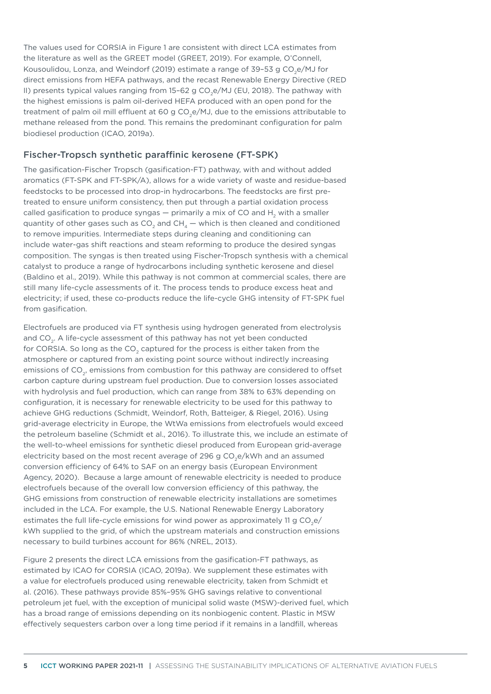The values used for CORSIA in [Figure](#page-3-0) 1 are consistent with direct LCA estimates from the literature as well as the GREET model (GREET, 2019). For example, O'Connell, Kousoulidou, Lonza, and Weindorf (2019) estimate a range of 39-53 g CO<sub>2</sub>e/MJ for direct emissions from HEFA pathways, and the recast Renewable Energy Directive (RED II) presents typical values ranging from  $15-62$  g CO<sub>2</sub>e/MJ (EU, 2018). The pathway with the highest emissions is palm oil-derived HEFA produced with an open pond for the treatment of palm oil mill effluent at 60 g CO<sub>2</sub>e/MJ, due to the emissions attributable to methane released from the pond. This remains the predominant configuration for palm biodiesel production (ICAO, 2019a).

#### Fischer-Tropsch synthetic paraffinic kerosene (FT-SPK)

The gasification-Fischer Tropsch (gasification-FT) pathway, with and without added aromatics (FT-SPK and FT-SPK/A), allows for a wide variety of waste and residue-based feedstocks to be processed into drop-in hydrocarbons. The feedstocks are first pretreated to ensure uniform consistency, then put through a partial oxidation process called gasification to produce syngas  $-$  primarily a mix of CO and H<sub>2</sub> with a smaller quantity of other gases such as  $CO<sub>2</sub>$  and  $CH<sub>4</sub>$  — which is then cleaned and conditioned to remove impurities. Intermediate steps during cleaning and conditioning can include water-gas shift reactions and steam reforming to produce the desired syngas composition. The syngas is then treated using Fischer-Tropsch synthesis with a chemical catalyst to produce a range of hydrocarbons including synthetic kerosene and diesel (Baldino et al., 2019). While this pathway is not common at commercial scales, there are still many life-cycle assessments of it. The process tends to produce excess heat and electricity; if used, these co-products reduce the life-cycle GHG intensity of FT-SPK fuel from gasification.

Electrofuels are produced via FT synthesis using hydrogen generated from electrolysis and CO<sub>2</sub>. A life-cycle assessment of this pathway has not yet been conducted for CORSIA. So long as the CO<sub>2</sub> captured for the process is either taken from the atmosphere or captured from an existing point source without indirectly increasing emissions of CO<sub>2</sub>, emissions from combustion for this pathway are considered to offset carbon capture during upstream fuel production. Due to conversion losses associated with hydrolysis and fuel production, which can range from 38% to 63% depending on configuration, it is necessary for renewable electricity to be used for this pathway to achieve GHG reductions (Schmidt, Weindorf, Roth, Batteiger, & Riegel, 2016). Using grid-average electricity in Europe, the WtWa emissions from electrofuels would exceed the petroleum baseline (Schmidt et al., 2016). To illustrate this, we include an estimate of the well-to-wheel emissions for synthetic diesel produced from European grid-average electricity based on the most recent average of 296 g CO<sub>2</sub>e/kWh and an assumed conversion efficiency of 64% to SAF on an energy basis (European Environment Agency, 2020). Because a large amount of renewable electricity is needed to produce electrofuels because of the overall low conversion efficiency of this pathway, the GHG emissions from construction of renewable electricity installations are sometimes included in the LCA. For example, the U.S. National Renewable Energy Laboratory estimates the full life-cycle emissions for wind power as approximately 11 g  $CO<sub>2</sub>e/$ kWh supplied to the grid, of which the upstream materials and construction emissions necessary to build turbines account for 86% (NREL, 2013).

[Figure](#page-5-0) 2 presents the direct LCA emissions from the gasification-FT pathways, as estimated by ICAO for CORSIA (ICAO, 2019a). We supplement these estimates with a value for electrofuels produced using renewable electricity, taken from Schmidt et al. (2016). These pathways provide 85%–95% GHG savings relative to conventional petroleum jet fuel, with the exception of municipal solid waste (MSW)-derived fuel, which has a broad range of emissions depending on its nonbiogenic content. Plastic in MSW effectively sequesters carbon over a long time period if it remains in a landfill, whereas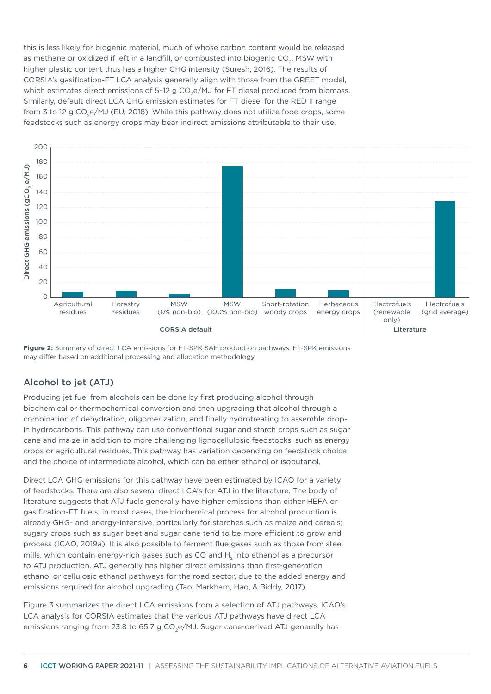this is less likely for biogenic material, much of whose carbon content would be released as methane or oxidized if left in a landfill, or combusted into biogenic CO<sub>2</sub>. MSW with higher plastic content thus has a higher GHG intensity (Suresh, 2016). The results of CORSIA's gasification-FT LCA analysis generally align with those from the GREET model, which estimates direct emissions of 5-12 g  $CO<sub>2</sub>e/MJ$  for FT diesel produced from biomass. Similarly, default direct LCA GHG emission estimates for FT diesel for the RED II range from 3 to 12 g CO<sub>2</sub>e/MJ (EU, 2018). While this pathway does not utilize food crops, some feedstocks such as energy crops may bear indirect emissions attributable to their use.



<span id="page-5-0"></span>**Figure 2:** Summary of direct LCA emissions for FT-SPK SAF production pathways. FT-SPK emissions may differ based on additional processing and allocation methodology.

### Alcohol to jet (ATJ)

Producing jet fuel from alcohols can be done by first producing alcohol through biochemical or thermochemical conversion and then upgrading that alcohol through a combination of dehydration, oligomerization, and finally hydrotreating to assemble dropin hydrocarbons. This pathway can use conventional sugar and starch crops such as sugar cane and maize in addition to more challenging lignocellulosic feedstocks, such as energy crops or agricultural residues. This pathway has variation depending on feedstock choice and the choice of intermediate alcohol, which can be either ethanol or isobutanol.

Direct LCA GHG emissions for this pathway have been estimated by ICAO for a variety of feedstocks. There are also several direct LCA's for ATJ in the literature. The body of literature suggests that ATJ fuels generally have higher emissions than either HEFA or gasification-FT fuels; in most cases, the biochemical process for alcohol production is already GHG- and energy-intensive, particularly for starches such as maize and cereals; sugary crops such as sugar beet and sugar cane tend to be more efficient to grow and process (ICAO, 2019a). It is also possible to ferment flue gases such as those from steel mills, which contain energy-rich gases such as CO and  $H<sub>a</sub>$  into ethanol as a precursor to ATJ production. ATJ generally has higher direct emissions than first-generation ethanol or cellulosic ethanol pathways for the road sector, due to the added energy and emissions required for alcohol upgrading (Tao, Markham, Haq, & Biddy, 2017).

[Figure 3](#page-6-0) summarizes the direct LCA emissions from a selection of ATJ pathways. ICAO's LCA analysis for CORSIA estimates that the various ATJ pathways have direct LCA emissions ranging from 23.8 to 65.7 g CO<sub>2</sub>e/MJ. Sugar cane-derived ATJ generally has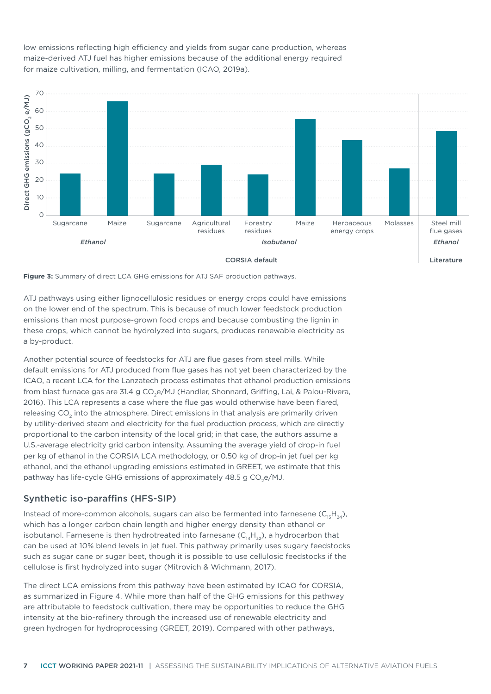70 Direct GHG emissions (gCO, e/MJ) Direct GHG emissions (gCO<sub>2</sub> e/MJ) 60 50  $40$ 30  $20$ 10  $\cap$ Sugarcane Maize Sugarcane Agricultural Forestry Molasses Maize Herbaceous Steel mill residues residues energy crops flue gases *Ethanol Isobutanol Ethanol*

Literature

<span id="page-6-0"></span>**Figure 3:** Summary of direct LCA GHG emissions for ATJ SAF production pathways.

ATJ pathways using either lignocellulosic residues or energy crops could have emissions on the lower end of the spectrum. This is because of much lower feedstock production emissions than most purpose-grown food crops and because combusting the lignin in these crops, which cannot be hydrolyzed into sugars, produces renewable electricity as a by-product.

Another potential source of feedstocks for ATJ are flue gases from steel mills. While default emissions for ATJ produced from flue gases has not yet been characterized by the ICAO, a recent LCA for the Lanzatech process estimates that ethanol production emissions from blast furnace gas are 31.4 g CO<sub>3</sub>e/MJ (Handler, Shonnard, Griffing, Lai, & Palou-Rivera, 2016). This LCA represents a case where the flue gas would otherwise have been flared, releasing CO<sub>2</sub> into the atmosphere. Direct emissions in that analysis are primarily driven by utility-derived steam and electricity for the fuel production process, which are directly proportional to the carbon intensity of the local grid; in that case, the authors assume a U.S.-average electricity grid carbon intensity. Assuming the average yield of drop-in fuel per kg of ethanol in the CORSIA LCA methodology, or 0.50 kg of drop-in jet fuel per kg ethanol, and the ethanol upgrading emissions estimated in GREET, we estimate that this pathway has life-cycle GHG emissions of approximately 48.5 g CO<sub>2</sub>e/MJ.

#### Synthetic iso-paraffins (HFS-SIP)

Instead of more-common alcohols, sugars can also be fermented into farnesene  $(C_{15}H_{24})$ , which has a longer carbon chain length and higher energy density than ethanol or isobutanol. Farnesene is then hydrotreated into farnesane  $(C_{14}H_{32})$ , a hydrocarbon that can be used at 10% blend levels in jet fuel. This pathway primarily uses sugary feedstocks such as sugar cane or sugar beet, though it is possible to use cellulosic feedstocks if the cellulose is first hydrolyzed into sugar (Mitrovich & Wichmann, 2017).

The direct LCA emissions from this pathway have been estimated by ICAO for CORSIA, as summarized in [Figure 4](#page-7-0). While more than half of the GHG emissions for this pathway are attributable to feedstock cultivation, there may be opportunities to reduce the GHG intensity at the bio-refinery through the increased use of renewable electricity and green hydrogen for hydroprocessing (GREET, 2019). Compared with other pathways,

low emissions reflecting high efficiency and yields from sugar cane production, whereas maize-derived ATJ fuel has higher emissions because of the additional energy required for maize cultivation, milling, and fermentation (ICAO, 2019a).

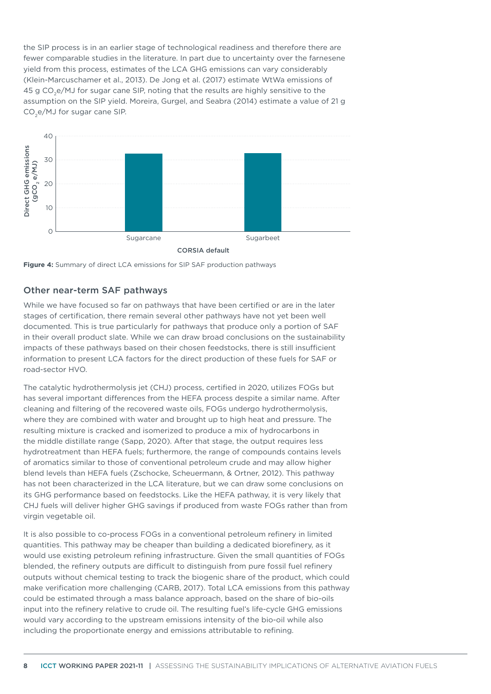the SIP process is in an earlier stage of technological readiness and therefore there are fewer comparable studies in the literature. In part due to uncertainty over the farnesene yield from this process, estimates of the LCA GHG emissions can vary considerably (Klein-Marcuschamer et al., 2013). De Jong et al. (2017) estimate WtWa emissions of 45 g CO2e/MJ for sugar cane SIP, noting that the results are highly sensitive to the assumption on the SIP yield. Moreira, Gurgel, and Seabra (2014) estimate a value of 21 g CO<sub>2</sub>e/MJ for sugar cane SIP.



<span id="page-7-0"></span>**Figure 4:** Summary of direct LCA emissions for SIP SAF production pathways

#### Other near-term SAF pathways

While we have focused so far on pathways that have been certified or are in the later stages of certification, there remain several other pathways have not yet been well documented. This is true particularly for pathways that produce only a portion of SAF in their overall product slate. While we can draw broad conclusions on the sustainability impacts of these pathways based on their chosen feedstocks, there is still insufficient information to present LCA factors for the direct production of these fuels for SAF or road-sector HVO.

The catalytic hydrothermolysis jet (CHJ) process, certified in 2020, utilizes FOGs but has several important differences from the HEFA process despite a similar name. After cleaning and filtering of the recovered waste oils, FOGs undergo hydrothermolysis, where they are combined with water and brought up to high heat and pressure. The resulting mixture is cracked and isomerized to produce a mix of hydrocarbons in the middle distillate range (Sapp, 2020). After that stage, the output requires less hydrotreatment than HEFA fuels; furthermore, the range of compounds contains levels of aromatics similar to those of conventional petroleum crude and may allow higher blend levels than HEFA fuels (Zschocke, Scheuermann, & Ortner, 2012). This pathway has not been characterized in the LCA literature, but we can draw some conclusions on its GHG performance based on feedstocks. Like the HEFA pathway, it is very likely that CHJ fuels will deliver higher GHG savings if produced from waste FOGs rather than from virgin vegetable oil.

It is also possible to co-process FOGs in a conventional petroleum refinery in limited quantities. This pathway may be cheaper than building a dedicated biorefinery, as it would use existing petroleum refining infrastructure. Given the small quantities of FOGs blended, the refinery outputs are difficult to distinguish from pure fossil fuel refinery outputs without chemical testing to track the biogenic share of the product, which could make verification more challenging (CARB, 2017). Total LCA emissions from this pathway could be estimated through a mass balance approach, based on the share of bio-oils input into the refinery relative to crude oil. The resulting fuel's life-cycle GHG emissions would vary according to the upstream emissions intensity of the bio-oil while also including the proportionate energy and emissions attributable to refining.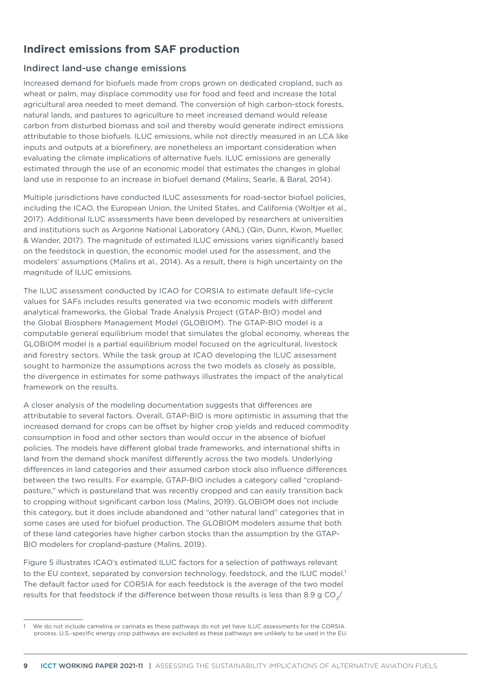# **Indirect emissions from SAF production**

#### Indirect land-use change emissions

Increased demand for biofuels made from crops grown on dedicated cropland, such as wheat or palm, may displace commodity use for food and feed and increase the total agricultural area needed to meet demand. The conversion of high carbon-stock forests, natural lands, and pastures to agriculture to meet increased demand would release carbon from disturbed biomass and soil and thereby would generate indirect emissions attributable to those biofuels. ILUC emissions, while not directly measured in an LCA like inputs and outputs at a biorefinery, are nonetheless an important consideration when evaluating the climate implications of alternative fuels. ILUC emissions are generally estimated through the use of an economic model that estimates the changes in global land use in response to an increase in biofuel demand (Malins, Searle, & Baral, 2014).

Multiple jurisdictions have conducted ILUC assessments for road-sector biofuel policies, including the ICAO, the European Union, the United States, and California (Woltjer et al., 2017). Additional ILUC assessments have been developed by researchers at universities and institutions such as Argonne National Laboratory (ANL) (Qin, Dunn, Kwon, Mueller, & Wander, 2017). The magnitude of estimated ILUC emissions varies significantly based on the feedstock in question, the economic model used for the assessment, and the modelers' assumptions (Malins et al., 2014). As a result, there is high uncertainty on the magnitude of ILUC emissions.

The ILUC assessment conducted by ICAO for CORSIA to estimate default life-cycle values for SAFs includes results generated via two economic models with different analytical frameworks, the Global Trade Analysis Project (GTAP-BIO) model and the Global Biosphere Management Model (GLOBIOM). The GTAP-BIO model is a computable general equilibrium model that simulates the global economy, whereas the GLOBIOM model is a partial equilibrium model focused on the agricultural, livestock and forestry sectors. While the task group at ICAO developing the ILUC assessment sought to harmonize the assumptions across the two models as closely as possible, the divergence in estimates for some pathways illustrates the impact of the analytical framework on the results.

A closer analysis of the modeling documentation suggests that differences are attributable to several factors. Overall, GTAP-BIO is more optimistic in assuming that the increased demand for crops can be offset by higher crop yields and reduced commodity consumption in food and other sectors than would occur in the absence of biofuel policies. The models have different global trade frameworks, and international shifts in land from the demand shock manifest differently across the two models. Underlying differences in land categories and their assumed carbon stock also influence differences between the two results. For example, GTAP-BIO includes a category called "croplandpasture," which is pastureland that was recently cropped and can easily transition back to cropping without significant carbon loss (Malins, 2019). GLOBIOM does not include this category, but it does include abandoned and "other natural land" categories that in some cases are used for biofuel production. The GLOBIOM modelers assume that both of these land categories have higher carbon stocks than the assumption by the GTAP-BIO modelers for cropland-pasture (Malins, 2019).

[Figure 5](#page-9-0) illustrates ICAO's estimated ILUC factors for a selection of pathways relevant to the EU context, separated by conversion technology, feedstock, and the ILUC model.<sup>1</sup> The default factor used for CORSIA for each feedstock is the average of the two model results for that feedstock if the difference between those results is less than 8.9 g CO $\sqrt$ 

We do not include camelina or carinata as these pathways do not yet have ILUC assessments for the CORSIA process. U.S.-specific energy crop pathways are excluded as these pathways are unlikely to be used in the EU.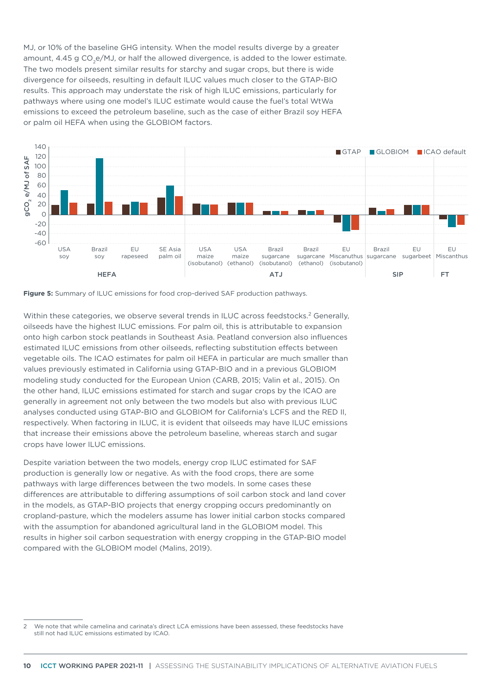MJ, or 10% of the baseline GHG intensity. When the model results diverge by a greater amount,  $4.45$  g CO<sub>2</sub>e/MJ, or half the allowed divergence, is added to the lower estimate. The two models present similar results for starchy and sugar crops, but there is wide divergence for oilseeds, resulting in default ILUC values much closer to the GTAP-BIO results. This approach may understate the risk of high ILUC emissions, particularly for pathways where using one model's ILUC estimate would cause the fuel's total WtWa emissions to exceed the petroleum baseline, such as the case of either Brazil soy HEFA or palm oil HEFA when using the GLOBIOM factors.



<span id="page-9-0"></span>**Figure 5:** Summary of ILUC emissions for food crop-derived SAF production pathways.

Within these categories, we observe several trends in ILUC across feedstocks.<sup>2</sup> Generally, oilseeds have the highest ILUC emissions. For palm oil, this is attributable to expansion onto high carbon stock peatlands in Southeast Asia. Peatland conversion also influences estimated ILUC emissions from other oilseeds, reflecting substitution effects between vegetable oils. The ICAO estimates for palm oil HEFA in particular are much smaller than values previously estimated in California using GTAP-BIO and in a previous GLOBIOM modeling study conducted for the European Union (CARB, 2015; Valin et al., 2015). On the other hand, ILUC emissions estimated for starch and sugar crops by the ICAO are generally in agreement not only between the two models but also with previous ILUC analyses conducted using GTAP-BIO and GLOBIOM for California's LCFS and the RED II, respectively. When factoring in ILUC, it is evident that oilseeds may have ILUC emissions that increase their emissions above the petroleum baseline, whereas starch and sugar crops have lower ILUC emissions.

Despite variation between the two models, energy crop ILUC estimated for SAF production is generally low or negative. As with the food crops, there are some pathways with large differences between the two models. In some cases these differences are attributable to differing assumptions of soil carbon stock and land cover in the models, as GTAP-BIO projects that energy cropping occurs predominantly on cropland-pasture, which the modelers assume has lower initial carbon stocks compared with the assumption for abandoned agricultural land in the GLOBIOM model. This results in higher soil carbon sequestration with energy cropping in the GTAP-BIO model compared with the GLOBIOM model (Malins, 2019).

<sup>2</sup> We note that while camelina and carinata's direct LCA emissions have been assessed, these feedstocks have still not had ILUC emissions estimated by ICAO.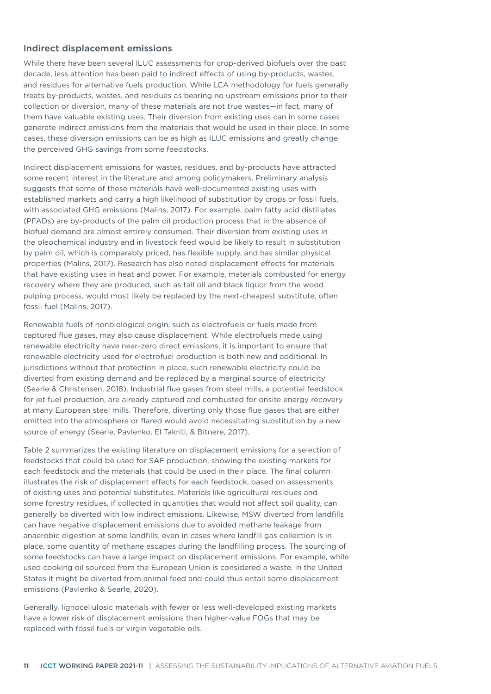#### Indirect displacement emissions

While there have been several ILUC assessments for crop-derived biofuels over the past decade, less attention has been paid to indirect effects of using by-products, wastes, and residues for alternative fuels production. While LCA methodology for fuels generally treats by-products, wastes, and residues as bearing no upstream emissions prior to their collection or diversion, many of these materials are not true wastes—in fact, many of them have valuable existing uses. Their diversion from existing uses can in some cases generate indirect emissions from the materials that would be used in their place. In some cases, these diversion emissions can be as high as ILUC emissions and greatly change the perceived GHG savings from some feedstocks.

Indirect displacement emissions for wastes, residues, and by-products have attracted some recent interest in the literature and among policymakers. Preliminary analysis suggests that some of these materials have well-documented existing uses with established markets and carry a high likelihood of substitution by crops or fossil fuels, with associated GHG emissions (Malins, 2017). For example, palm fatty acid distillates (PFADs) are by-products of the palm oil production process that in the absence of biofuel demand are almost entirely consumed. Their diversion from existing uses in the oleochemical industry and in livestock feed would be likely to result in substitution by palm oil, which is comparably priced, has flexible supply, and has similar physical properties (Malins, 2017). Research has also noted displacement effects for materials that have existing uses in heat and power. For example, materials combusted for energy recovery where they are produced, such as tall oil and black liquor from the wood pulping process, would most likely be replaced by the next-cheapest substitute, often fossil fuel (Malins, 2017).

Renewable fuels of nonbiological origin, such as electrofuels or fuels made from captured flue gases, may also cause displacement. While electrofuels made using renewable electricity have near-zero direct emissions, it is important to ensure that renewable electricity used for electrofuel production is both new and additional. In jurisdictions without that protection in place, such renewable electricity could be diverted from existing demand and be replaced by a marginal source of electricity (Searle & Christensen, 2018). Industrial flue gases from steel mills, a potential feedstock for jet fuel production, are already captured and combusted for onsite energy recovery at many European steel mills. Therefore, diverting only those flue gases that are either emitted into the atmosphere or flared would avoid necessitating substitution by a new source of energy (Searle, Pavlenko, El Takriti, & Bitnere, 2017).

[Table 2](#page-11-0) summarizes the existing literature on displacement emissions for a selection of feedstocks that could be used for SAF production, showing the existing markets for each feedstock and the materials that could be used in their place. The final column illustrates the risk of displacement effects for each feedstock, based on assessments of existing uses and potential substitutes. Materials like agricultural residues and some forestry residues, if collected in quantities that would not affect soil quality, can generally be diverted with low indirect emissions. Likewise, MSW diverted from landfills can have negative displacement emissions due to avoided methane leakage from anaerobic digestion at some landfills; even in cases where landfill gas collection is in place, some quantity of methane escapes during the landfilling process. The sourcing of some feedstocks can have a large impact on displacement emissions. For example, while used cooking oil sourced from the European Union is considered a waste, in the United States it might be diverted from animal feed and could thus entail some displacement emissions (Pavlenko & Searle, 2020).

Generally, lignocellulosic materials with fewer or less well-developed existing markets have a lower risk of displacement emissions than higher-value FOGs that may be replaced with fossil fuels or virgin vegetable oils.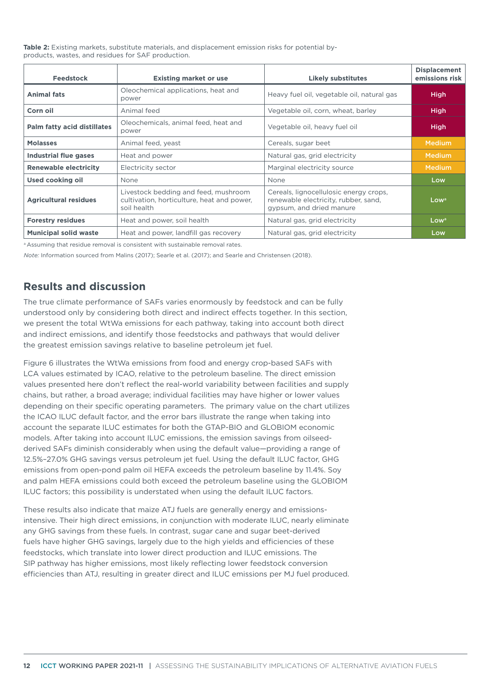<span id="page-11-0"></span>**Table 2:** Existing markets, substitute materials, and displacement emission risks for potential byproducts, wastes, and residues for SAF production.

| <b>Feedstock</b>                   | <b>Existing market or use</b>                                                                     | <b>Likely substitutes</b>                                                                                  | <b>Displacement</b><br>emissions risk |
|------------------------------------|---------------------------------------------------------------------------------------------------|------------------------------------------------------------------------------------------------------------|---------------------------------------|
| <b>Animal fats</b>                 | Oleochemical applications, heat and<br>power                                                      | Heavy fuel oil, vegetable oil, natural gas                                                                 | <b>High</b>                           |
| Corn oil                           | Animal feed                                                                                       | Vegetable oil, corn, wheat, barley                                                                         | <b>High</b>                           |
| <b>Palm fatty acid distillates</b> | Oleochemicals, animal feed, heat and<br>power                                                     | Vegetable oil, heavy fuel oil                                                                              | <b>High</b>                           |
| <b>Molasses</b>                    | Animal feed, yeast                                                                                | Cereals, sugar beet                                                                                        | <b>Medium</b>                         |
| <b>Industrial flue gases</b>       | Heat and power                                                                                    | Natural gas, grid electricity                                                                              | <b>Medium</b>                         |
| <b>Renewable electricity</b>       | Electricity sector                                                                                | Marginal electricity source                                                                                | <b>Medium</b>                         |
| Used cooking oil                   | <b>None</b>                                                                                       | None                                                                                                       | Low                                   |
| <b>Agricultural residues</b>       | Livestock bedding and feed, mushroom<br>cultivation, horticulture, heat and power,<br>soil health | Cereals, lignocellulosic energy crops,<br>renewable electricity, rubber, sand,<br>gypsum, and dried manure | Low <sup>a</sup>                      |
| <b>Forestry residues</b>           | Heat and power, soil health                                                                       | Natural gas, grid electricity                                                                              | Low <sup>a</sup>                      |
| <b>Municipal solid waste</b>       | Heat and power, landfill gas recovery                                                             | Natural gas, grid electricity                                                                              | Low                                   |

a Assuming that residue removal is consistent with sustainable removal rates.

*Note:* Information sourced from Malins (2017); Searle et al. (2017); and Searle and Christensen (2018).

# **Results and discussion**

The true climate performance of SAFs varies enormously by feedstock and can be fully understood only by considering both direct and indirect effects together. In this section, we present the total WtWa emissions for each pathway, taking into account both direct and indirect emissions, and identify those feedstocks and pathways that would deliver the greatest emission savings relative to baseline petroleum jet fuel.

[Figure](#page-12-0) 6 illustrates the WtWa emissions from food and energy crop-based SAFs with LCA values estimated by ICAO, relative to the petroleum baseline. The direct emission values presented here don't reflect the real-world variability between facilities and supply chains, but rather, a broad average; individual facilities may have higher or lower values depending on their specific operating parameters. The primary value on the chart utilizes the ICAO ILUC default factor, and the error bars illustrate the range when taking into account the separate ILUC estimates for both the GTAP-BIO and GLOBIOM economic models. After taking into account ILUC emissions, the emission savings from oilseedderived SAFs diminish considerably when using the default value—providing a range of 12.5%–27.0% GHG savings versus petroleum jet fuel. Using the default ILUC factor, GHG emissions from open-pond palm oil HEFA exceeds the petroleum baseline by 11.4%. Soy and palm HEFA emissions could both exceed the petroleum baseline using the GLOBIOM ILUC factors; this possibility is understated when using the default ILUC factors.

These results also indicate that maize ATJ fuels are generally energy and emissionsintensive. Their high direct emissions, in conjunction with moderate ILUC, nearly eliminate any GHG savings from these fuels. In contrast, sugar cane and sugar beet-derived fuels have higher GHG savings, largely due to the high yields and efficiencies of these feedstocks, which translate into lower direct production and ILUC emissions. The SIP pathway has higher emissions, most likely reflecting lower feedstock conversion efficiencies than ATJ, resulting in greater direct and ILUC emissions per MJ fuel produced.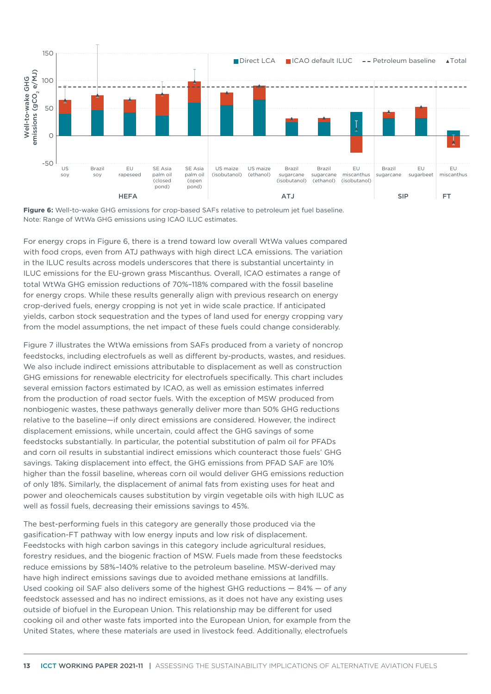

<span id="page-12-0"></span>**Figure 6:** Well-to-wake GHG emissions for crop-based SAFs relative to petroleum jet fuel baseline. Note: Range of WtWa GHG emissions using ICAO ILUC estimates.

For energy crops in [Figure](#page-12-0) 6, there is a trend toward low overall WtWa values compared with food crops, even from ATJ pathways with high direct LCA emissions. The variation in the ILUC results across models underscores that there is substantial uncertainty in ILUC emissions for the EU-grown grass Miscanthus. Overall, ICAO estimates a range of total WtWa GHG emission reductions of 70%–118% compared with the fossil baseline for energy crops. While these results generally align with previous research on energy crop-derived fuels, energy cropping is not yet in wide scale practice. If anticipated yields, carbon stock sequestration and the types of land used for energy cropping vary from the model assumptions, the net impact of these fuels could change considerably.

[Figure 7](#page-13-0) illustrates the WtWa emissions from SAFs produced from a variety of noncrop feedstocks, including electrofuels as well as different by-products, wastes, and residues. We also include indirect emissions attributable to displacement as well as construction GHG emissions for renewable electricity for electrofuels specifically. This chart includes several emission factors estimated by ICAO, as well as emission estimates inferred from the production of road sector fuels. With the exception of MSW produced from nonbiogenic wastes, these pathways generally deliver more than 50% GHG reductions relative to the baseline—if only direct emissions are considered. However, the indirect displacement emissions, while uncertain, could affect the GHG savings of some feedstocks substantially. In particular, the potential substitution of palm oil for PFADs and corn oil results in substantial indirect emissions which counteract those fuels' GHG savings. Taking displacement into effect, the GHG emissions from PFAD SAF are 10% higher than the fossil baseline, whereas corn oil would deliver GHG emissions reduction of only 18%. Similarly, the displacement of animal fats from existing uses for heat and power and oleochemicals causes substitution by virgin vegetable oils with high ILUC as well as fossil fuels, decreasing their emissions savings to 45%.

The best-performing fuels in this category are generally those produced via the gasification-FT pathway with low energy inputs and low risk of displacement. Feedstocks with high carbon savings in this category include agricultural residues, forestry residues, and the biogenic fraction of MSW. Fuels made from these feedstocks reduce emissions by 58%–140% relative to the petroleum baseline. MSW-derived may have high indirect emissions savings due to avoided methane emissions at landfills. Used cooking oil SAF also delivers some of the highest GHG reductions  $-84\% -$  of any feedstock assessed and has no indirect emissions, as it does not have any existing uses outside of biofuel in the European Union. This relationship may be different for used cooking oil and other waste fats imported into the European Union, for example from the United States, where these materials are used in livestock feed. Additionally, electrofuels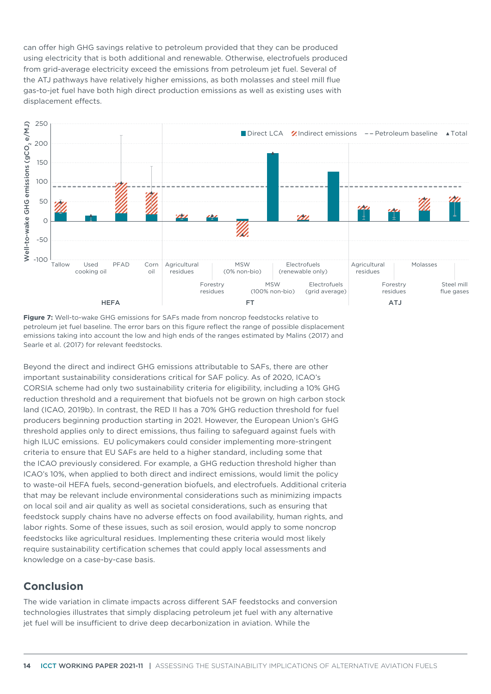can offer high GHG savings relative to petroleum provided that they can be produced using electricity that is both additional and renewable. Otherwise, electrofuels produced from grid-average electricity exceed the emissions from petroleum jet fuel. Several of the ATJ pathways have relatively higher emissions, as both molasses and steel mill flue gas-to-jet fuel have both high direct production emissions as well as existing uses with displacement effects.



<span id="page-13-0"></span>**Figure 7:** Well-to-wake GHG emissions for SAFs made from noncrop feedstocks relative to petroleum jet fuel baseline. The error bars on this figure reflect the range of possible displacement emissions taking into account the low and high ends of the ranges estimated by Malins (2017) and Searle et al. (2017) for relevant feedstocks.

Beyond the direct and indirect GHG emissions attributable to SAFs, there are other important sustainability considerations critical for SAF policy. As of 2020, ICAO's CORSIA scheme had only two sustainability criteria for eligibility, including a 10% GHG reduction threshold and a requirement that biofuels not be grown on high carbon stock land (ICAO, 2019b). In contrast, the RED II has a 70% GHG reduction threshold for fuel producers beginning production starting in 2021. However, the European Union's GHG threshold applies only to direct emissions, thus failing to safeguard against fuels with high ILUC emissions. EU policymakers could consider implementing more-stringent criteria to ensure that EU SAFs are held to a higher standard, including some that the ICAO previously considered. For example, a GHG reduction threshold higher than ICAO's 10%, when applied to both direct and indirect emissions, would limit the policy to waste-oil HEFA fuels, second-generation biofuels, and electrofuels. Additional criteria that may be relevant include environmental considerations such as minimizing impacts on local soil and air quality as well as societal considerations, such as ensuring that feedstock supply chains have no adverse effects on food availability, human rights, and labor rights. Some of these issues, such as soil erosion, would apply to some noncrop feedstocks like agricultural residues. Implementing these criteria would most likely require sustainability certification schemes that could apply local assessments and knowledge on a case-by-case basis.

# **Conclusion**

The wide variation in climate impacts across different SAF feedstocks and conversion technologies illustrates that simply displacing petroleum jet fuel with any alternative jet fuel will be insufficient to drive deep decarbonization in aviation. While the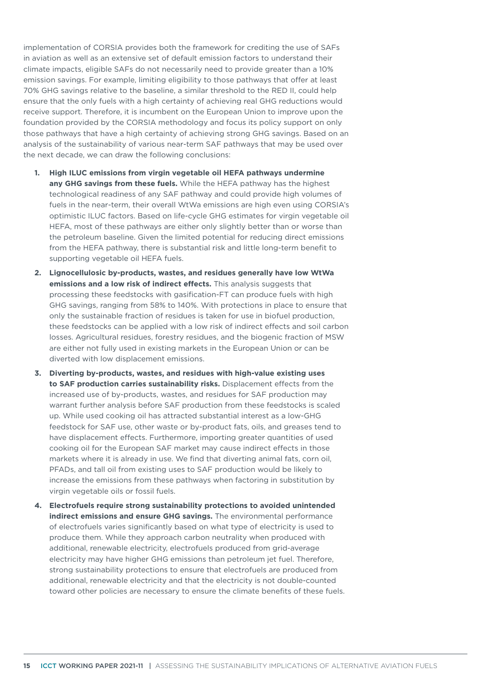implementation of CORSIA provides both the framework for crediting the use of SAFs in aviation as well as an extensive set of default emission factors to understand their climate impacts, eligible SAFs do not necessarily need to provide greater than a 10% emission savings. For example, limiting eligibility to those pathways that offer at least 70% GHG savings relative to the baseline, a similar threshold to the RED II, could help ensure that the only fuels with a high certainty of achieving real GHG reductions would receive support. Therefore, it is incumbent on the European Union to improve upon the foundation provided by the CORSIA methodology and focus its policy support on only those pathways that have a high certainty of achieving strong GHG savings. Based on an analysis of the sustainability of various near-term SAF pathways that may be used over the next decade, we can draw the following conclusions:

- **1. High ILUC emissions from virgin vegetable oil HEFA pathways undermine any GHG savings from these fuels.** While the HEFA pathway has the highest technological readiness of any SAF pathway and could provide high volumes of fuels in the near-term, their overall WtWa emissions are high even using CORSIA's optimistic ILUC factors. Based on life-cycle GHG estimates for virgin vegetable oil HEFA, most of these pathways are either only slightly better than or worse than the petroleum baseline. Given the limited potential for reducing direct emissions from the HEFA pathway, there is substantial risk and little long-term benefit to supporting vegetable oil HEFA fuels.
- **2. Lignocellulosic by-products, wastes, and residues generally have low WtWa emissions and a low risk of indirect effects.** This analysis suggests that processing these feedstocks with gasification-FT can produce fuels with high GHG savings, ranging from 58% to 140%. With protections in place to ensure that only the sustainable fraction of residues is taken for use in biofuel production, these feedstocks can be applied with a low risk of indirect effects and soil carbon losses. Agricultural residues, forestry residues, and the biogenic fraction of MSW are either not fully used in existing markets in the European Union or can be diverted with low displacement emissions.
- **3. Diverting by-products, wastes, and residues with high-value existing uses to SAF production carries sustainability risks.** Displacement effects from the increased use of by-products, wastes, and residues for SAF production may warrant further analysis before SAF production from these feedstocks is scaled up. While used cooking oil has attracted substantial interest as a low-GHG feedstock for SAF use, other waste or by-product fats, oils, and greases tend to have displacement effects. Furthermore, importing greater quantities of used cooking oil for the European SAF market may cause indirect effects in those markets where it is already in use. We find that diverting animal fats, corn oil, PFADs, and tall oil from existing uses to SAF production would be likely to increase the emissions from these pathways when factoring in substitution by virgin vegetable oils or fossil fuels.
- **4. Electrofuels require strong sustainability protections to avoided unintended indirect emissions and ensure GHG savings.** The environmental performance of electrofuels varies significantly based on what type of electricity is used to produce them. While they approach carbon neutrality when produced with additional, renewable electricity, electrofuels produced from grid-average electricity may have higher GHG emissions than petroleum jet fuel. Therefore, strong sustainability protections to ensure that electrofuels are produced from additional, renewable electricity and that the electricity is not double-counted toward other policies are necessary to ensure the climate benefits of these fuels.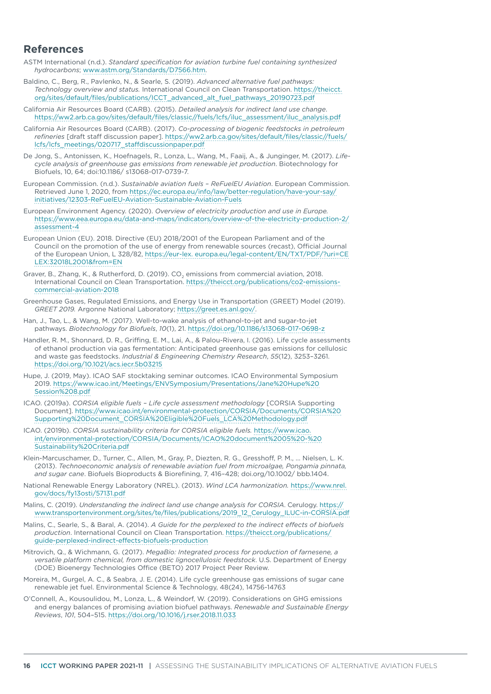## **References**

- ASTM International (n.d.). *Standard specification for aviation turbine fuel containing synthesized hydrocarbons*; [www.astm.org/Standards/D7566.htm](http://www.astm.org/Standards/D7566.htm).
- Baldino, C., Berg, R., Pavlenko, N., & Searle, S. (2019). *Advanced alternative fuel pathways: Technology overview and status.* International Council on Clean Transportation. [https://theicct.](https://theicct.org/sites/default/files/publications/ICCT_advanced_alt_fuel_pathways_20190723.pdf) [org/sites/default/files/publications/ICCT\\_advanced\\_alt\\_fuel\\_pathways\\_20190723.pdf](https://theicct.org/sites/default/files/publications/ICCT_advanced_alt_fuel_pathways_20190723.pdf)
- California Air Resources Board (CARB). (2015). *Detailed analysis for indirect land use change*. [https://ww2.arb.ca.gov/sites/default/files/classic//fuels/lcfs/iluc\\_assessment/iluc\\_analysis.pdf](https://ww2.arb.ca.gov/sites/default/files/classic/fuels/lcfs/iluc_assessment/iluc_analysis.pdf)
- California Air Resources Board (CARB). (2017). *Co-processing of biogenic feedstocks in petroleum refineries* [draft staff discussion paper]. [https://ww2.arb.ca.gov/sites/default/files/classic//fuels/](https://ww2.arb.ca.gov/sites/default/files/classic/fuels/lcfs/lcfs_meetings/020717_staffdiscussionpaper.pdf) [lcfs/lcfs\\_meetings/020717\\_staffdiscussionpaper.pdf](https://ww2.arb.ca.gov/sites/default/files/classic/fuels/lcfs/lcfs_meetings/020717_staffdiscussionpaper.pdf)
- De Jong, S., Antonissen, K., Hoefnagels, R., Lonza, L., Wang, M., Faaij, A., & Junginger, M. (2017). *Lifecycle analysis of greenhouse gas emissions from renewable jet production*. Biotechnology for Biofuels, 10, 64; doi:10.1186/ s13068-017-0739-7.
- European Commission. (n.d.). *Sustainable aviation fuels ReFuelEU Aviation*. European Commission. Retrieved June 1, 2020, from [https://ec.europa.eu/info/law/better-regulation/have-your-say/](https://ec.europa.eu/info/law/better-regulation/have-your-say/initiatives/12303-ReFuelEU-Aviation-Sustainable-Aviation-Fuels) [initiatives/12303-ReFuelEU-Aviation-Sustainable-Aviation-Fuels](https://ec.europa.eu/info/law/better-regulation/have-your-say/initiatives/12303-ReFuelEU-Aviation-Sustainable-Aviation-Fuels)
- European Environment Agency. (2020). *Overview of electricity production and use in Europe.*  [https://www.eea.europa.eu/data-and-maps/indicators/overview-of-the-electricity-production-2/](https://www.eea.europa.eu/data-and-maps/indicators/overview-of-the-electricity-production-2/assessment-4) [assessment-4](https://www.eea.europa.eu/data-and-maps/indicators/overview-of-the-electricity-production-2/assessment-4)
- European Union (EU). 2018. Directive (EU) 2018/2001 of the European Parliament and of the Council on the promotion of the use of energy from renewable sources (recast), Official Journal of the European Union, L 328/82, [https://eur-lex. europa.eu/legal-content/EN/TXT/PDF/?uri=CE](https://eur-lex. europa.eu/legal-content/EN/TXT/PDF/?uri=CELEX:32018L2001&from=EN) [LEX:32018L2001&from=EN](https://eur-lex. europa.eu/legal-content/EN/TXT/PDF/?uri=CELEX:32018L2001&from=EN)
- Graver, B., Zhang, K., & Rutherford, D. (2019). CO<sub>2</sub> emissions from commercial aviation, 2018. International Council on Clean Transportation. [https://theicct.org/publications/co2-emissions](https://theicct.org/publications/co2-emissions-commercial-aviation-2018)[commercial-aviation-2018](https://theicct.org/publications/co2-emissions-commercial-aviation-2018)
- Greenhouse Gases, Regulated Emissions, and Energy Use in Transportation (GREET) Model (2019). *GREET 2019.* Argonne National Laboratory;<https://greet.es.anl.gov/>.
- Han, J., Tao, L., & Wang, M. (2017). Well-to-wake analysis of ethanol-to-jet and sugar-to-jet pathways. *Biotechnology for Biofuels*, *10*(1), 21. <https://doi.org/10.1186/s13068-017-0698-z>
- Handler, R. M., Shonnard, D. R., Griffing, E. M., Lai, A., & Palou-Rivera, I. (2016). Life cycle assessments of ethanol production via gas fermentation: Anticipated greenhouse gas emissions for cellulosic and waste gas feedstocks. *Industrial & Engineering Chemistry Research*, *55*(12), 3253–3261. <https://doi.org/10.1021/acs.iecr.5b03215>
- Hupe, J. (2019, May). ICAO SAF stocktaking seminar outcomes. ICAO Environmental Symposium 2019. https://www.icao.int/Meetings/ENVSymposium/Presentations/Jane%20Hupe%20 Session%208.pdf
- ICAO. (2019a). *CORSIA eligible fuels Life cycle assessment methodology* [CORSIA Supporting Document]. [https://www.icao.int/environmental-protection/CORSIA/Documents/CORSIA%20](https://www.icao.int/environmental-protection/CORSIA/Documents/CORSIA Supporting Document_CORSIA Eligible Fuels_LCA Methodology.pdf) [Supporting%20Document\\_CORSIA%20Eligible%20Fuels\\_LCA%20Methodology.pdf](https://www.icao.int/environmental-protection/CORSIA/Documents/CORSIA Supporting Document_CORSIA Eligible Fuels_LCA Methodology.pdf)
- ICAO. (2019b). *CORSIA sustainability criteria for CORSIA eligible fuels.* [https://www.icao.](https://www.icao.int/environmental-protection/CORSIA/Documents/ICAO document 05  Sustainability Criteria.pdf) [int/environmental-protection/CORSIA/Documents/ICAO%20document%2005%20-%20](https://www.icao.int/environmental-protection/CORSIA/Documents/ICAO document 05 - Sustainability Criteria.pdf) [Sustainability%20Criteria.pdf](https://www.icao.int/environmental-protection/CORSIA/Documents/ICAO document 05 - Sustainability Criteria.pdf)
- Klein-Marcuschamer, D., Turner, C., Allen, M., Gray, P., Diezten, R. G., Gresshoff, P. M., ... Nielsen, L. K. (2013). *Technoeconomic analysis of renewable aviation fuel from microalgae, Pongamia pinnata, and sugar cane*. Biofuels Bioproducts & Biorefining, 7, 416–428; doi.org/10.1002/ bbb.1404.
- National Renewable Energy Laboratory (NREL). (2013). *Wind LCA harmonization.* [https://www.nrel.](https://www.nrel.gov/docs/fy13osti/57131.pdf) [gov/docs/fy13osti/57131.pdf](https://www.nrel.gov/docs/fy13osti/57131.pdf)
- Malins, C. (2019). *Understanding the indirect land use change analysis for CORSIA*. Cerulogy. [https://](https://www.transportenvironment.org/sites/te/files/publications/2019_12_Cerulogy_ILUC-in-CORSIA.pdf) [www.transportenvironment.org/sites/te/files/publications/2019\\_12\\_Cerulogy\\_ILUC-in-CORSIA.pdf](https://www.transportenvironment.org/sites/te/files/publications/2019_12_Cerulogy_ILUC-in-CORSIA.pdf)
- Malins, C., Searle, S., & Baral, A. (2014). *A Guide for the perplexed to the indirect effects of biofuels production*. International Council on Clean Transportation. [https://theicct.org/publications/](https://theicct.org/publications/guide-perplexed-indirect-effects-biofuels-production) [guide-perplexed-indirect-effects-biofuels-production](https://theicct.org/publications/guide-perplexed-indirect-effects-biofuels-production)
- Mitrovich, Q., & Wichmann, G. (2017). *MegaBio: Integrated process for production of farnesene, a versatile platform chemical, from domestic lignocellulosic feedstock*. U.S. Department of Energy (DOE) Bioenergy Technologies Office (BETO) 2017 Project Peer Review.
- Moreira, M., Gurgel, A. C., & Seabra, J. E. (2014). Life cycle greenhouse gas emissions of sugar cane renewable jet fuel. Environmental Science & Technology, 48(24), 14756-14763
- O'Connell, A., Kousoulidou, M., Lonza, L., & Weindorf, W. (2019). Considerations on GHG emissions and energy balances of promising aviation biofuel pathways. *Renewable and Sustainable Energy Reviews*, *101*, 504–515.<https://doi.org/10.1016/j.rser.2018.11.033>